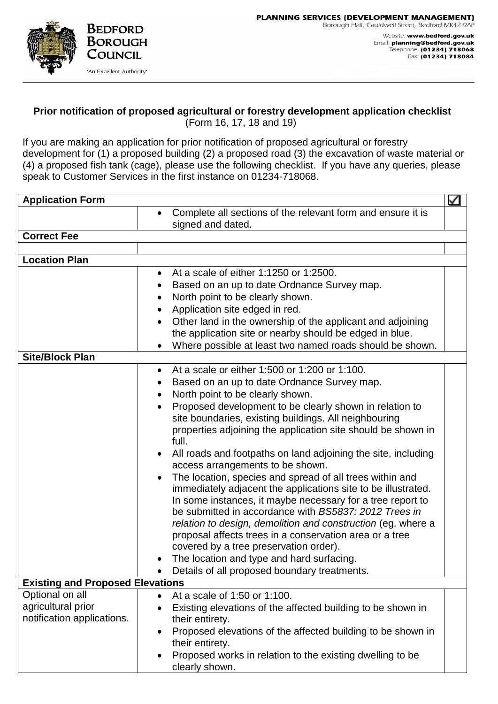## **Prior notification of proposed agricultural or forestry development application checklist** (Form 16, 17, 18 and 19)

If you are making an application for prior notification of proposed agricultural or forestry development for (1) a proposed building (2) a proposed road (3) the excavation of waste material or (4) a proposed fish tank (cage), please use the following checklist. If you have any queries, please speak to Customer Services in the first instance on 01234-718068.

| <b>Application Form</b><br>⊻            |                                                                                  |  |
|-----------------------------------------|----------------------------------------------------------------------------------|--|
|                                         | Complete all sections of the relevant form and ensure it is<br>signed and dated. |  |
| <b>Correct Fee</b>                      |                                                                                  |  |
|                                         |                                                                                  |  |
| <b>Location Plan</b>                    |                                                                                  |  |
|                                         | At a scale of either 1:1250 or 1:2500.<br>$\bullet$                              |  |
|                                         | Based on an up to date Ordnance Survey map.                                      |  |
|                                         | North point to be clearly shown.                                                 |  |
|                                         | Application site edged in red.<br>$\bullet$                                      |  |
|                                         | Other land in the ownership of the applicant and adjoining                       |  |
|                                         | the application site or nearby should be edged in blue.                          |  |
|                                         | Where possible at least two named roads should be shown.                         |  |
| <b>Site/Block Plan</b>                  |                                                                                  |  |
|                                         | At a scale or either 1:500 or 1:200 or 1:100.<br>$\bullet$                       |  |
|                                         | Based on an up to date Ordnance Survey map.                                      |  |
|                                         | North point to be clearly shown.<br>$\bullet$                                    |  |
|                                         | Proposed development to be clearly shown in relation to<br>$\bullet$             |  |
|                                         | site boundaries, existing buildings. All neighbouring                            |  |
|                                         | properties adjoining the application site should be shown in<br>full.            |  |
|                                         | All roads and footpaths on land adjoining the site, including<br>$\bullet$       |  |
|                                         | access arrangements to be shown.                                                 |  |
|                                         | The location, species and spread of all trees within and<br>$\bullet$            |  |
|                                         | immediately adjacent the applications site to be illustrated.                    |  |
|                                         | In some instances, it maybe necessary for a tree report to                       |  |
|                                         | be submitted in accordance with BS5837: 2012 Trees in                            |  |
|                                         | relation to design, demolition and construction (eg. where a                     |  |
|                                         | proposal affects trees in a conservation area or a tree                          |  |
|                                         | covered by a tree preservation order).                                           |  |
|                                         | The location and type and hard surfacing.                                        |  |
|                                         | Details of all proposed boundary treatments.                                     |  |
| <b>Existing and Proposed Elevations</b> |                                                                                  |  |
| Optional on all                         | At a scale of 1:50 or 1:100.<br>$\bullet$                                        |  |
| agricultural prior                      | Existing elevations of the affected building to be shown in<br>$\bullet$         |  |
| notification applications.              | their entirety.                                                                  |  |
|                                         | Proposed elevations of the affected building to be shown in<br>$\bullet$         |  |
|                                         | their entirety.                                                                  |  |
|                                         | Proposed works in relation to the existing dwelling to be<br>clearly shown.      |  |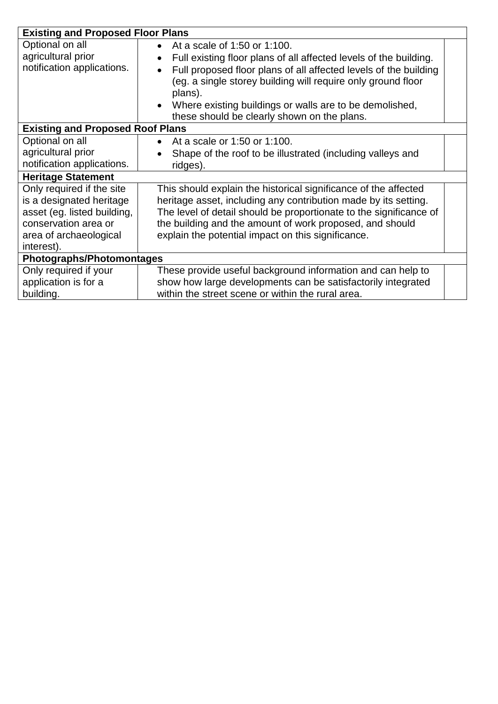| <b>Existing and Proposed Floor Plans</b> |                                                                                |  |
|------------------------------------------|--------------------------------------------------------------------------------|--|
| Optional on all                          | At a scale of 1:50 or 1:100.<br>$\bullet$                                      |  |
| agricultural prior                       | Full existing floor plans of all affected levels of the building.<br>$\bullet$ |  |
| notification applications.               | Full proposed floor plans of all affected levels of the building<br>$\bullet$  |  |
|                                          | (eg. a single storey building will require only ground floor                   |  |
|                                          | plans).                                                                        |  |
|                                          | Where existing buildings or walls are to be demolished,<br>$\bullet$           |  |
|                                          | these should be clearly shown on the plans.                                    |  |
| <b>Existing and Proposed Roof Plans</b>  |                                                                                |  |
| Optional on all                          | At a scale or 1:50 or 1:100.<br>$\bullet$                                      |  |
| agricultural prior                       | Shape of the roof to be illustrated (including valleys and                     |  |
| notification applications.               | ridges).                                                                       |  |
| <b>Heritage Statement</b>                |                                                                                |  |
| Only required if the site                | This should explain the historical significance of the affected                |  |
| is a designated heritage                 | heritage asset, including any contribution made by its setting.                |  |
| asset (eg. listed building,              | The level of detail should be proportionate to the significance of             |  |
| conservation area or                     | the building and the amount of work proposed, and should                       |  |
| area of archaeological                   | explain the potential impact on this significance.                             |  |
| interest).                               |                                                                                |  |
| <b>Photographs/Photomontages</b>         |                                                                                |  |
| Only required if your                    | These provide useful background information and can help to                    |  |
| application is for a                     | show how large developments can be satisfactorily integrated                   |  |
| building.                                | within the street scene or within the rural area.                              |  |